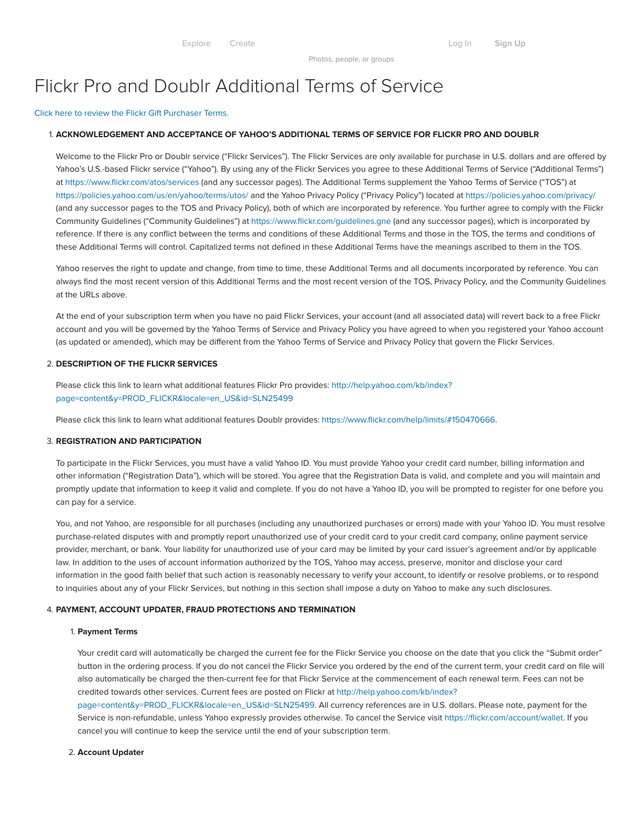Photos, people, or groups

# Flickr Pro and Doublr Additional Terms of Service

Click here to review the Flickr Gift [Purchaser](#page-1-0) Terms.

#### 1. ACKNOWLEDGEMENT AND ACCEPTANCE OF YAHOO'S ADDITIONAL TERMS OF SERVICE FOR FLICKR PRO AND DOUBLR

Welcome to the Flickr Pro or Doublr service ("Flickr Services"). The Flickr Services are only available for purchase in U.S. dollars and are offered by Yahoo's U.S.-based Flickr service ("Yahoo"). By using any of the Flickr Services you agree to these Additional Terms of Service ("Additional Terms") at <https://www.flickr.com/atos/services> (and any successor pages). The Additional Terms supplement the Yahoo Terms of Service ("TOS") at <https://policies.yahoo.com/us/en/yahoo/terms/utos/> and the Yahoo Privacy Policy ("Privacy Policy") located at <https://policies.yahoo.com/privacy/> (and any successor pages to the TOS and Privacy Policy), both of which are incorporated by reference. You further agree to comply with the Flickr Community Guidelines ("Community Guidelines") at <https://www.flickr.com/guidelines.gne> (and any successor pages), which is incorporated by reference. If there is any conflict between the terms and conditions of these Additional Terms and those in the TOS, the terms and conditions of these Additional Terms will control. Capitalized terms not defined in these Additional Terms have the meanings ascribed to them in the TOS.

Yahoo reserves the right to update and change, from time to time, these Additional Terms and all documents incorporated by reference. You can always find the most recent version of this Additional Terms and the most recent version of the TOS, Privacy Policy, and the Community Guidelines at the URLs above.

At the end of your subscription term when you have no paid Flickr Services, your account (and all associated data) will revert back to a free Flickr account and you will be governed by the Yahoo Terms of Service and Privacy Policy you have agreed to when you registered your Yahoo account (as updated or amended), which may be different from the Yahoo Terms of Service and Privacy Policy that govern the Flickr Services.

## 2. DESCRIPTION OF THE FLICKR SERVICES

Please click this link to learn what additional features Flickr Pro provides: http://help.yahoo.com/kb/index? [page=content&y=PROD\\_FLICKR&locale=en\\_US&id=SLN25499](http://help.yahoo.com/kb/index?page=content&y=PROD_FLICKR&locale=en_US&id=SLN25499)

Please click this link to learn what additional features Doublr provides: [https://www.flickr.com/help/limits/#150470666.](https://www.flickr.com/help/limits/#150470666)

#### 3. REGISTRATION AND PARTICIPATION

To participate in the Flickr Services, you must have a valid Yahoo ID. You must provide Yahoo your credit card number, billing information and other information ("Registration Data"), which will be stored. You agree that the Registration Data is valid, and complete and you will maintain and promptly update that information to keep it valid and complete. If you do not have a Yahoo ID, you will be prompted to register for one before you can pay for a service.

You, and not Yahoo, are responsible for all purchases (including any unauthorized purchases or errors) made with your Yahoo ID. You must resolve purchase-related disputes with and promptly report unauthorized use of your credit card to your credit card company, online payment service provider, merchant, or bank. Your liability for unauthorized use of your card may be limited by your card issuer's agreement and/or by applicable law. In addition to the uses of account information authorized by the TOS, Yahoo may access, preserve, monitor and disclose your card information in the good faith belief that such action is reasonably necessary to verify your account, to identify or resolve problems, or to respond to inquiries about any of your Flickr Services, but nothing in this section shall impose a duty on Yahoo to make any such disclosures.

#### 4. PAYMENT, ACCOUNT UPDATER, FRAUD PROTECTIONS AND TERMINATION

#### 1. Payment Terms

Your credit card will automatically be charged the current fee for the Flickr Service you choose on the date that you click the "Submit order" button in the ordering process. If you do not cancel the Flickr Service you ordered by the end of the current term, your credit card on file will also automatically be charged the then-current fee for that Flickr Service at the commencement of each renewal term. Fees can not be credited towards other services. Current fees are posted on Flickr at http://help.yahoo.com/kb/index?

[page=content&y=PROD\\_FLICKR&locale=en\\_US&id=SLN25499.](http://help.yahoo.com/kb/index?page=content&y=PROD_FLICKR&locale=en_US&id=SLN25499) All currency references are in U.S. dollars. Please note, payment for the Service is non-refundable, unless Yahoo expressly provides otherwise. To cancel the Service visit <https://flickr.com/account/wallet>. If you cancel you will continue to keep the service until the end of your subscription term.

#### 2. Account Updater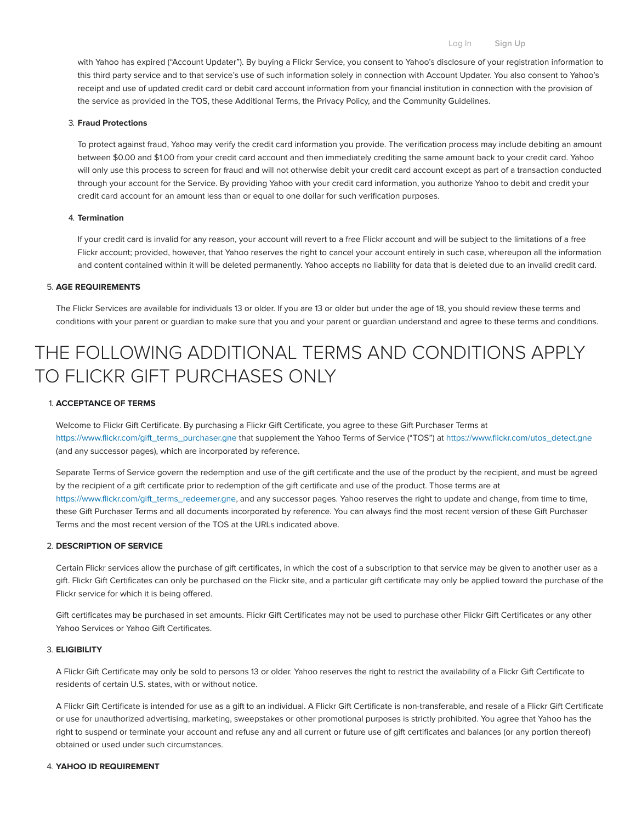with Yahoo has expired ("Account Updater"). By buying a Flickr Service, you consent to Yahoo's disclosure of your registration information to this third party service and to that service's use of such information solely in connection with Account Updater. You also consent to Yahoo's receipt and use of updated credit card or debit card account information from your financial institution in connection with the provision of the service as provided in the TOS, these Additional Terms, the Privacy Policy, and the Community Guidelines.

#### 3. Fraud Protections

To protect against fraud, Yahoo may verify the credit card information you provide. The verification process may include debiting an amount between \$0.00 and \$1.00 from your credit card account and then immediately crediting the same amount back to your credit card. Yahoo will only use this process to screen for fraud and will not otherwise debit your credit card account except as part of a transaction conducted through your account for the Service. By providing Yahoo with your credit card information, you authorize Yahoo to debit and credit your credit card account for an amount less than or equal to one dollar for such verification purposes.

## 4. Termination

If your credit card is invalid for any reason, your account will revert to a free Flickr account and will be subject to the limitations of a free Flickr account; provided, however, that Yahoo reserves the right to cancel your account entirely in such case, whereupon all the information and content contained within it will be deleted permanently. Yahoo accepts no liability for data that is deleted due to an invalid credit card.

## 5. AGE REQUIREMENTS

The Flickr Services are available for individuals 13 or older. If you are 13 or older but under the age of 18, you should review these terms and conditions with your parent or guardian to make sure that you and your parent or guardian understand and agree to these terms and conditions.

# <span id="page-1-0"></span>THE FOLLOWING ADDITIONAL TERMS AND CONDITIONS APPLY TO FLICKR GIFT PURCHASES ONLY

## 1. ACCEPTANCE OF TERMS

Welcome to Flickr Gift Certificate. By purchasing a Flickr Gift Certificate, you agree to these Gift Purchaser Terms at [https://www.flickr.com/gift\\_terms\\_purchaser.gne](https://www.flickr.com/gift_terms_purchaser.gne) that supplement the Yahoo Terms of Service ("TOS") at [https://www.flickr.com/utos\\_detect.gne](https://www.flickr.com/utos_detect.gne) (and any successor pages), which are incorporated by reference.

Separate Terms of Service govern the redemption and use of the gift certificate and the use of the product by the recipient, and must be agreed by the recipient of a gift certificate prior to redemption of the gift certificate and use of the product. Those terms are at [https://www.flickr.com/gift\\_terms\\_redeemer.gne](https://www.flickr.com/gift_terms_redeemer.gne), and any successor pages. Yahoo reserves the right to update and change, from time to time, these Gift Purchaser Terms and all documents incorporated by reference. You can always find the most recent version of these Gift Purchaser Terms and the most recent version of the TOS at the URLs indicated above.

#### 2. DESCRIPTION OF SERVICE

Certain Flickr services allow the purchase of gift certificates, in which the cost of a subscription to that service may be given to another user as a gift. Flickr Gift Certificates can only be purchased on the Flickr site, and a particular gift certificate may only be applied toward the purchase of the Flickr service for which it is being offered.

Gift certificates may be purchased in set amounts. Flickr Gift Certificates may not be used to purchase other Flickr Gift Certificates or any other Yahoo Services or Yahoo Gift Certificates.

## 3. ELIGIBILITY

A Flickr Gift Certificate may only be sold to persons 13 or older. Yahoo reserves the right to restrict the availability of a Flickr Gift Certificate to residents of certain U.S. states, with or without notice.

A Flickr Gift Certificate is intended for use as a gift to an individual. A Flickr Gift Certificate is non-transferable, and resale of a Flickr Gift Certificate or use for unauthorized advertising, marketing, sweepstakes or other promotional purposes is strictly prohibited. You agree that Yahoo has the right to suspend or terminate your account and refuse any and all current or future use of gift certificates and balances (or any portion thereof) obtained or used under such circumstances.

#### 4. YAHOO ID REQUIREMENT